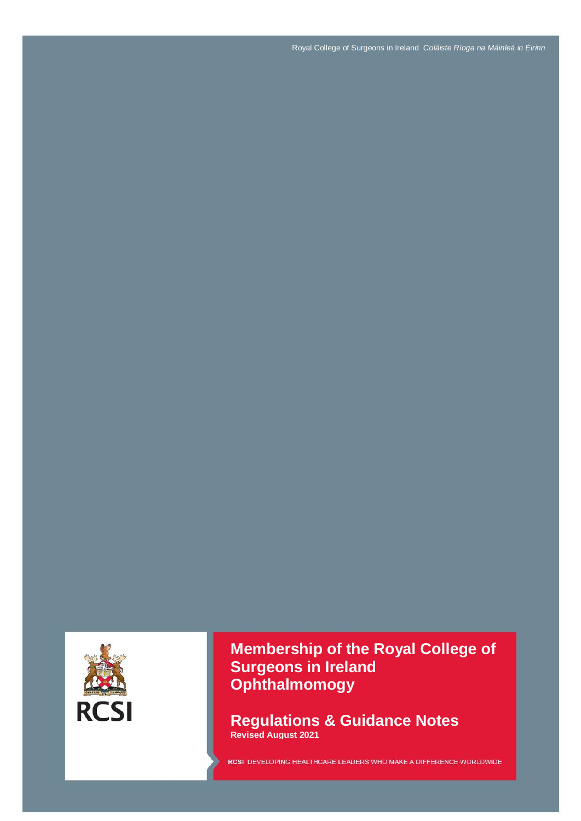Royal College of Surgeons in Ireland *Coláiste Ríoga na Máinleá in Éirinn*



**Membership of the Royal College of Surgeons in Ireland Ophthalmomogy** 

**Regulations & Guidance Notes Revised August 2021**

RCSI DEVELOPING HEALTHCARE LEADERS WHO MAKE A DIFFERENCE WORLDWIDE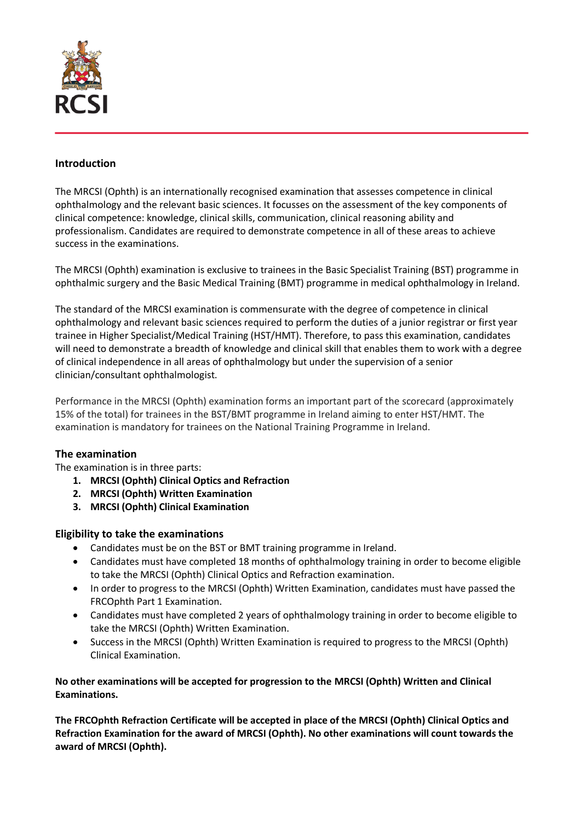

## **Introduction**

The MRCSI (Ophth) is an internationally recognised examination that assesses competence in clinical ophthalmology and the relevant basic sciences. It focusses on the assessment of the key components of clinical competence: knowledge, clinical skills, communication, clinical reasoning ability and professionalism. Candidates are required to demonstrate competence in all of these areas to achieve success in the examinations.

The MRCSI (Ophth) examination is exclusive to trainees in the Basic Specialist Training (BST) programme in ophthalmic surgery and the Basic Medical Training (BMT) programme in medical ophthalmology in Ireland.

The standard of the MRCSI examination is commensurate with the degree of competence in clinical ophthalmology and relevant basic sciences required to perform the duties of a junior registrar or first year trainee in Higher Specialist/Medical Training (HST/HMT). Therefore, to pass this examination, candidates will need to demonstrate a breadth of knowledge and clinical skill that enables them to work with a degree of clinical independence in all areas of ophthalmology but under the supervision of a senior clinician/consultant ophthalmologist.

Performance in the MRCSI (Ophth) examination forms an important part of the scorecard (approximately 15% of the total) for trainees in the BST/BMT programme in Ireland aiming to enter HST/HMT. The examination is mandatory for trainees on the National Training Programme in Ireland.

## **The examination**

The examination is in three parts:

- **1. MRCSI (Ophth) Clinical Optics and Refraction**
- **2. MRCSI (Ophth) Written Examination**
- **3. MRCSI (Ophth) Clinical Examination**

## **Eligibility to take the examinations**

- Candidates must be on the BST or BMT training programme in Ireland.
- Candidates must have completed 18 months of ophthalmology training in order to become eligible to take the MRCSI (Ophth) Clinical Optics and Refraction examination.
- In order to progress to the MRCSI (Ophth) Written Examination, candidates must have passed the FRCOphth Part 1 Examination.
- Candidates must have completed 2 years of ophthalmology training in order to become eligible to take the MRCSI (Ophth) Written Examination.
- Success in the MRCSI (Ophth) Written Examination is required to progress to the MRCSI (Ophth) Clinical Examination.

## **No other examinations will be accepted for progression to the MRCSI (Ophth) Written and Clinical Examinations.**

**The FRCOphth Refraction Certificate will be accepted in place of the MRCSI (Ophth) Clinical Optics and Refraction Examination for the award of MRCSI (Ophth). No other examinations will count towards the award of MRCSI (Ophth).**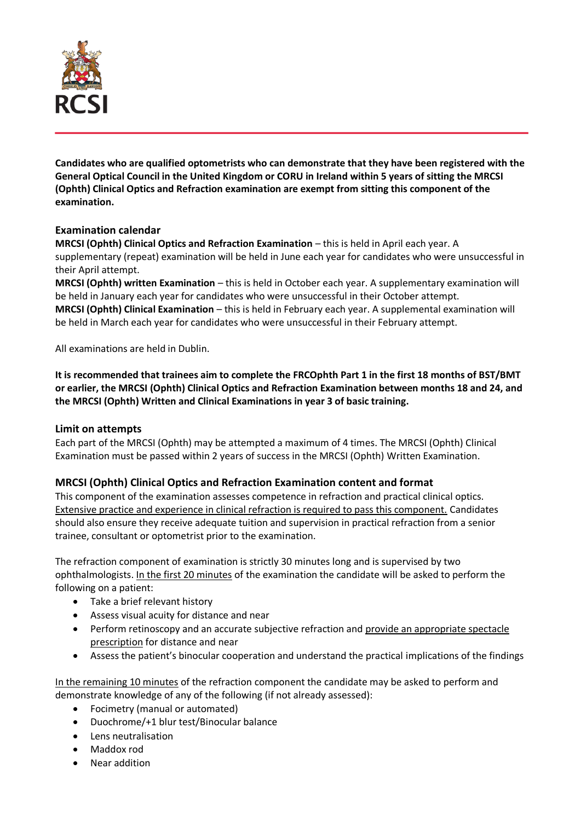

**Candidates who are qualified optometrists who can demonstrate that they have been registered with the General Optical Council in the United Kingdom or CORU in Ireland within 5 years of sitting the MRCSI (Ophth) Clinical Optics and Refraction examination are exempt from sitting this component of the examination.** 

## **Examination calendar**

**MRCSI (Ophth) Clinical Optics and Refraction Examination** – this is held in April each year. A supplementary (repeat) examination will be held in June each year for candidates who were unsuccessful in their April attempt.

**MRCSI (Ophth) written Examination** – this is held in October each year. A supplementary examination will be held in January each year for candidates who were unsuccessful in their October attempt.

**MRCSI (Ophth) Clinical Examination** – this is held in February each year. A supplemental examination will be held in March each year for candidates who were unsuccessful in their February attempt.

All examinations are held in Dublin.

**It is recommended that trainees aim to complete the FRCOphth Part 1 in the first 18 months of BST/BMT or earlier, the MRCSI (Ophth) Clinical Optics and Refraction Examination between months 18 and 24, and the MRCSI (Ophth) Written and Clinical Examinations in year 3 of basic training.** 

## **Limit on attempts**

Each part of the MRCSI (Ophth) may be attempted a maximum of 4 times. The MRCSI (Ophth) Clinical Examination must be passed within 2 years of success in the MRCSI (Ophth) Written Examination.

# **MRCSI (Ophth) Clinical Optics and Refraction Examination content and format**

This component of the examination assesses competence in refraction and practical clinical optics. Extensive practice and experience in clinical refraction is required to pass this component. Candidates should also ensure they receive adequate tuition and supervision in practical refraction from a senior trainee, consultant or optometrist prior to the examination.

The refraction component of examination is strictly 30 minutes long and is supervised by two ophthalmologists. In the first 20 minutes of the examination the candidate will be asked to perform the following on a patient:

- Take a brief relevant history
- Assess visual acuity for distance and near
- Perform retinoscopy and an accurate subjective refraction and provide an appropriate spectacle prescription for distance and near
- Assess the patient's binocular cooperation and understand the practical implications of the findings

In the remaining 10 minutes of the refraction component the candidate may be asked to perform and demonstrate knowledge of any of the following (if not already assessed):

- Focimetry (manual or automated)
- Duochrome/+1 blur test/Binocular balance
- Lens neutralisation
- Maddox rod
- Near addition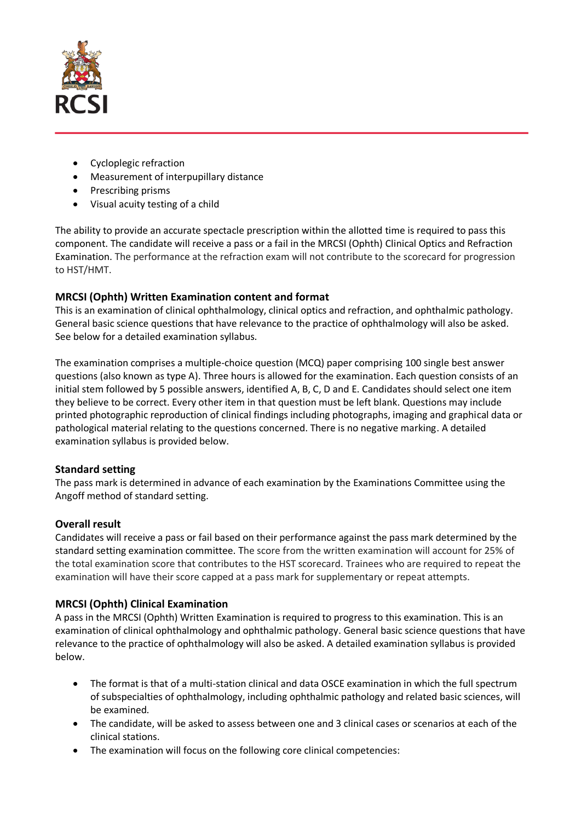

- Cycloplegic refraction
- Measurement of interpupillary distance
- Prescribing prisms
- Visual acuity testing of a child

The ability to provide an accurate spectacle prescription within the allotted time is required to pass this component. The candidate will receive a pass or a fail in the MRCSI (Ophth) Clinical Optics and Refraction Examination. The performance at the refraction exam will not contribute to the scorecard for progression to HST/HMT.

# **MRCSI (Ophth) Written Examination content and format**

This is an examination of clinical ophthalmology, clinical optics and refraction, and ophthalmic pathology. General basic science questions that have relevance to the practice of ophthalmology will also be asked. See below for a detailed examination syllabus.

The examination comprises a multiple-choice question (MCQ) paper comprising 100 single best answer questions (also known as type A). Three hours is allowed for the examination. Each question consists of an initial stem followed by 5 possible answers, identified A, B, C, D and E. Candidates should select one item they believe to be correct. Every other item in that question must be left blank. Questions may include printed photographic reproduction of clinical findings including photographs, imaging and graphical data or pathological material relating to the questions concerned. There is no negative marking. A detailed examination syllabus is provided below.

# **Standard setting**

The pass mark is determined in advance of each examination by the Examinations Committee using the Angoff method of standard setting.

# **Overall result**

Candidates will receive a pass or fail based on their performance against the pass mark determined by the standard setting examination committee. The score from the written examination will account for 25% of the total examination score that contributes to the HST scorecard. Trainees who are required to repeat the examination will have their score capped at a pass mark for supplementary or repeat attempts.

# **MRCSI (Ophth) Clinical Examination**

A pass in the MRCSI (Ophth) Written Examination is required to progress to this examination. This is an examination of clinical ophthalmology and ophthalmic pathology. General basic science questions that have relevance to the practice of ophthalmology will also be asked. A detailed examination syllabus is provided below.

- The format is that of a multi-station clinical and data OSCE examination in which the full spectrum of subspecialties of ophthalmology, including ophthalmic pathology and related basic sciences, will be examined.
- The candidate, will be asked to assess between one and 3 clinical cases or scenarios at each of the clinical stations.
- The examination will focus on the following core clinical competencies: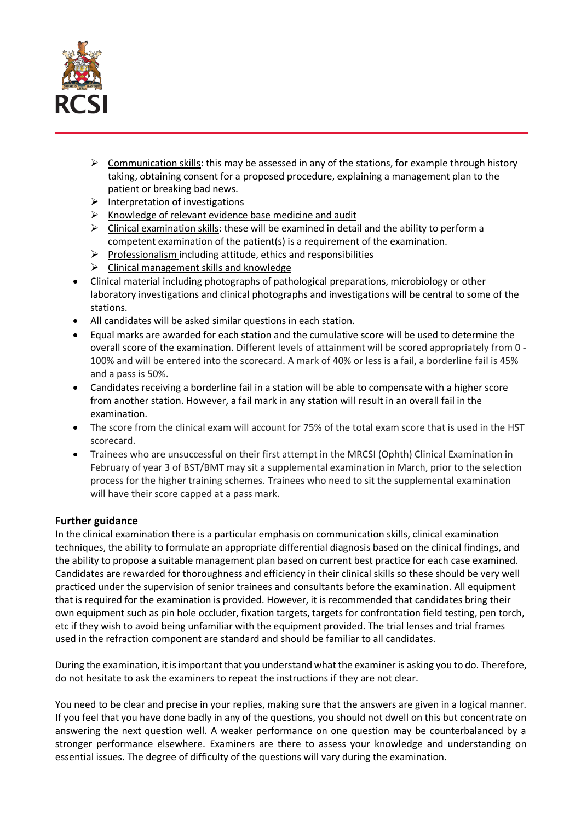

- $\triangleright$  Communication skills: this may be assessed in any of the stations, for example through history taking, obtaining consent for a proposed procedure, explaining a management plan to the patient or breaking bad news.
- $\triangleright$  Interpretation of investigations
- $\triangleright$  Knowledge of relevant evidence base medicine and audit
- $\triangleright$  Clinical examination skills: these will be examined in detail and the ability to perform a competent examination of the patient(s) is a requirement of the examination.
- $\triangleright$  Professionalism including attitude, ethics and responsibilities
- $\triangleright$  Clinical management skills and knowledge
- Clinical material including photographs of pathological preparations, microbiology or other laboratory investigations and clinical photographs and investigations will be central to some of the stations.
- All candidates will be asked similar questions in each station.
- Equal marks are awarded for each station and the cumulative score will be used to determine the overall score of the examination. Different levels of attainment will be scored appropriately from 0 - 100% and will be entered into the scorecard. A mark of 40% or less is a fail, a borderline fail is 45% and a pass is 50%.
- Candidates receiving a borderline fail in a station will be able to compensate with a higher score from another station. However, a fail mark in any station will result in an overall fail in the examination.
- The score from the clinical exam will account for 75% of the total exam score that is used in the HST scorecard.
- Trainees who are unsuccessful on their first attempt in the MRCSI (Ophth) Clinical Examination in February of year 3 of BST/BMT may sit a supplemental examination in March, prior to the selection process for the higher training schemes. Trainees who need to sit the supplemental examination will have their score capped at a pass mark.

## **Further guidance**

In the clinical examination there is a particular emphasis on communication skills, clinical examination techniques, the ability to formulate an appropriate differential diagnosis based on the clinical findings, and the ability to propose a suitable management plan based on current best practice for each case examined. Candidates are rewarded for thoroughness and efficiency in their clinical skills so these should be very well practiced under the supervision of senior trainees and consultants before the examination. All equipment that is required for the examination is provided. However, it is recommended that candidates bring their own equipment such as pin hole occluder, fixation targets, targets for confrontation field testing, pen torch, etc if they wish to avoid being unfamiliar with the equipment provided. The trial lenses and trial frames used in the refraction component are standard and should be familiar to all candidates.

During the examination, it is important that you understand what the examiner is asking you to do. Therefore, do not hesitate to ask the examiners to repeat the instructions if they are not clear.

You need to be clear and precise in your replies, making sure that the answers are given in a logical manner. If you feel that you have done badly in any of the questions, you should not dwell on this but concentrate on answering the next question well. A weaker performance on one question may be counterbalanced by a stronger performance elsewhere. Examiners are there to assess your knowledge and understanding on essential issues. The degree of difficulty of the questions will vary during the examination.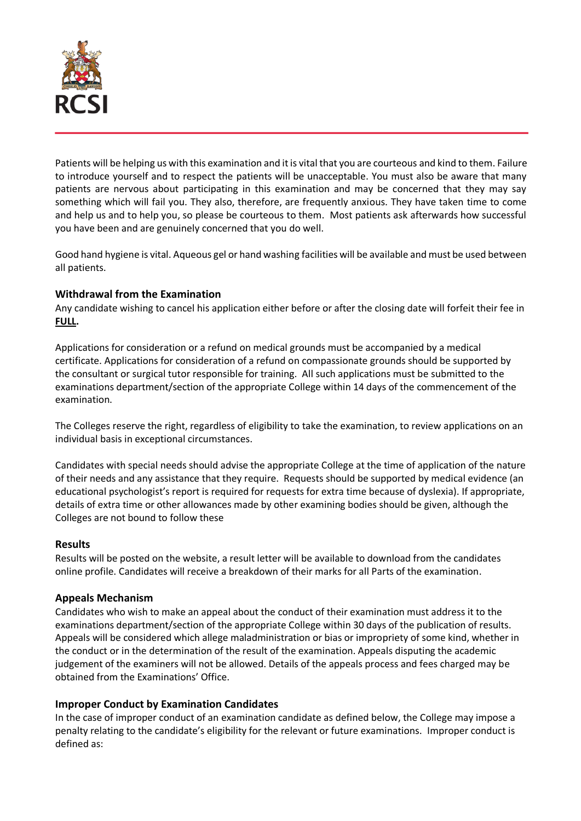

Patients will be helping us with this examination and it is vital that you are courteous and kind to them. Failure to introduce yourself and to respect the patients will be unacceptable. You must also be aware that many patients are nervous about participating in this examination and may be concerned that they may say something which will fail you. They also, therefore, are frequently anxious. They have taken time to come and help us and to help you, so please be courteous to them. Most patients ask afterwards how successful you have been and are genuinely concerned that you do well.

Good hand hygiene is vital. Aqueous gel or hand washing facilities will be available and must be used between all patients.

## **Withdrawal from the Examination**

Any candidate wishing to cancel his application either before or after the closing date will forfeit their fee in **FULL.** 

Applications for consideration or a refund on medical grounds must be accompanied by a medical certificate. Applications for consideration of a refund on compassionate grounds should be supported by the consultant or surgical tutor responsible for training. All such applications must be submitted to the examinations department/section of the appropriate College within 14 days of the commencement of the examination.

The Colleges reserve the right, regardless of eligibility to take the examination, to review applications on an individual basis in exceptional circumstances.

Candidates with special needs should advise the appropriate College at the time of application of the nature of their needs and any assistance that they require. Requests should be supported by medical evidence (an educational psychologist's report is required for requests for extra time because of dyslexia). If appropriate, details of extra time or other allowances made by other examining bodies should be given, although the Colleges are not bound to follow these

## **Results**

Results will be posted on the website, a result letter will be available to download from the candidates online profile. Candidates will receive a breakdown of their marks for all Parts of the examination.

# **Appeals Mechanism**

Candidates who wish to make an appeal about the conduct of their examination must address it to the examinations department/section of the appropriate College within 30 days of the publication of results. Appeals will be considered which allege maladministration or bias or impropriety of some kind, whether in the conduct or in the determination of the result of the examination. Appeals disputing the academic judgement of the examiners will not be allowed. Details of the appeals process and fees charged may be obtained from the Examinations' Office.

## **Improper Conduct by Examination Candidates**

In the case of improper conduct of an examination candidate as defined below, the College may impose a penalty relating to the candidate's eligibility for the relevant or future examinations. Improper conduct is defined as: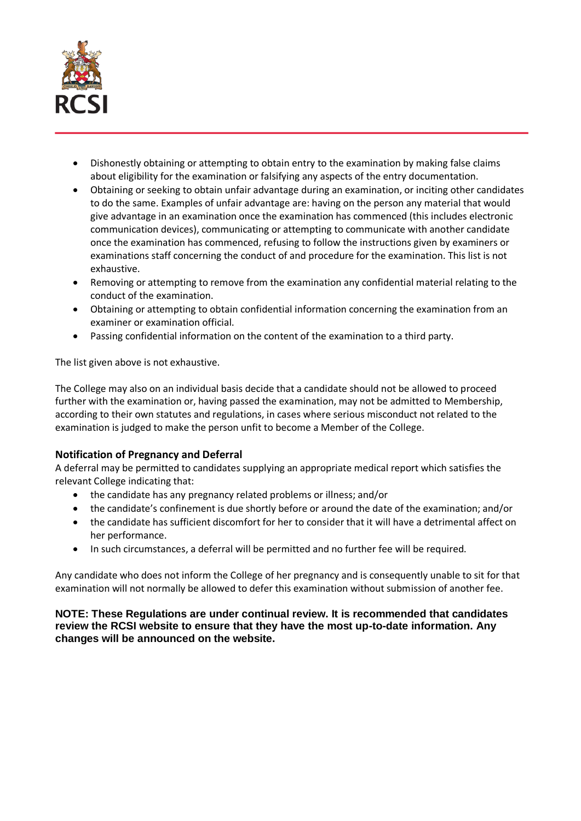

- Dishonestly obtaining or attempting to obtain entry to the examination by making false claims about eligibility for the examination or falsifying any aspects of the entry documentation.
- Obtaining or seeking to obtain unfair advantage during an examination, or inciting other candidates to do the same. Examples of unfair advantage are: having on the person any material that would give advantage in an examination once the examination has commenced (this includes electronic communication devices), communicating or attempting to communicate with another candidate once the examination has commenced, refusing to follow the instructions given by examiners or examinations staff concerning the conduct of and procedure for the examination. This list is not exhaustive.
- Removing or attempting to remove from the examination any confidential material relating to the conduct of the examination.
- Obtaining or attempting to obtain confidential information concerning the examination from an examiner or examination official.
- Passing confidential information on the content of the examination to a third party.

The list given above is not exhaustive.

The College may also on an individual basis decide that a candidate should not be allowed to proceed further with the examination or, having passed the examination, may not be admitted to Membership, according to their own statutes and regulations, in cases where serious misconduct not related to the examination is judged to make the person unfit to become a Member of the College.

# **Notification of Pregnancy and Deferral**

A deferral may be permitted to candidates supplying an appropriate medical report which satisfies the relevant College indicating that:

- the candidate has any pregnancy related problems or illness; and/or
- the candidate's confinement is due shortly before or around the date of the examination; and/or
- the candidate has sufficient discomfort for her to consider that it will have a detrimental affect on her performance.
- In such circumstances, a deferral will be permitted and no further fee will be required.

Any candidate who does not inform the College of her pregnancy and is consequently unable to sit for that examination will not normally be allowed to defer this examination without submission of another fee.

### **NOTE: These Regulations are under continual review. It is recommended that candidates review the RCSI website to ensure that they have the most up-to-date information. Any changes will be announced on the website.**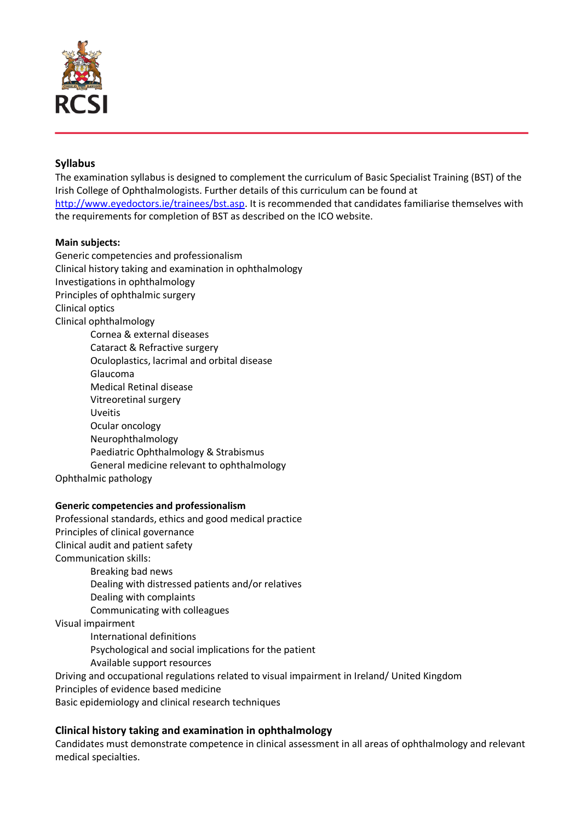

# **Syllabus**

The examination syllabus is designed to complement the curriculum of Basic Specialist Training (BST) of the Irish College of Ophthalmologists. Further details of this curriculum can be found at [http://www.eyedoctors.ie/trainees/bst.asp.](http://www.eyedoctors.ie/trainees/bst.asp) It is recommended that candidates familiarise themselves with the requirements for completion of BST as described on the ICO website.

#### **Main subjects:**

Generic competencies and professionalism Clinical history taking and examination in ophthalmology Investigations in ophthalmology Principles of ophthalmic surgery Clinical optics Clinical ophthalmology Cornea & external diseases Cataract & Refractive surgery Oculoplastics, lacrimal and orbital disease Glaucoma Medical Retinal disease Vitreoretinal surgery Uveitis Ocular oncology Neurophthalmology Paediatric Ophthalmology & Strabismus General medicine relevant to ophthalmology

Ophthalmic pathology

## **Generic competencies and professionalism**

Professional standards, ethics and good medical practice Principles of clinical governance Clinical audit and patient safety Communication skills: Breaking bad news Dealing with distressed patients and/or relatives Dealing with complaints Communicating with colleagues Visual impairment International definitions Psychological and social implications for the patient Available support resources Driving and occupational regulations related to visual impairment in Ireland/ United Kingdom Principles of evidence based medicine

Basic epidemiology and clinical research techniques

## **Clinical history taking and examination in ophthalmology**

Candidates must demonstrate competence in clinical assessment in all areas of ophthalmology and relevant medical specialties.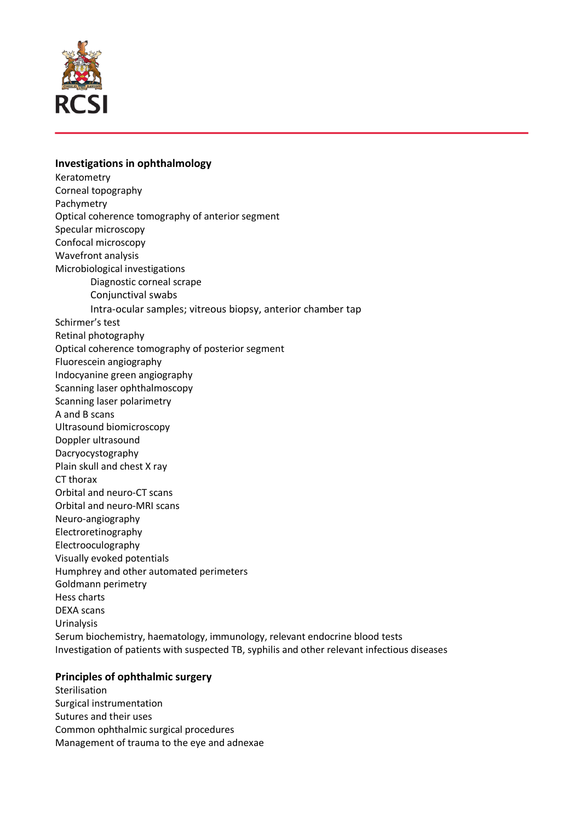

#### **Investigations in ophthalmology**

Keratometry Corneal topography Pachymetry Optical coherence tomography of anterior segment Specular microscopy Confocal microscopy Wavefront analysis Microbiological investigations Diagnostic corneal scrape Conjunctival swabs Intra-ocular samples; vitreous biopsy, anterior chamber tap Schirmer's test Retinal photography Optical coherence tomography of posterior segment Fluorescein angiography Indocyanine green angiography Scanning laser ophthalmoscopy Scanning laser polarimetry A and B scans Ultrasound biomicroscopy Doppler ultrasound Dacryocystography Plain skull and chest X ray CT thorax Orbital and neuro-CT scans Orbital and neuro-MRI scans Neuro-angiography Electroretinography Electrooculography Visually evoked potentials Humphrey and other automated perimeters Goldmann perimetry Hess charts DEXA scans Urinalysis Serum biochemistry, haematology, immunology, relevant endocrine blood tests Investigation of patients with suspected TB, syphilis and other relevant infectious diseases

## **Principles of ophthalmic surgery**

Sterilisation Surgical instrumentation Sutures and their uses Common ophthalmic surgical procedures Management of trauma to the eye and adnexae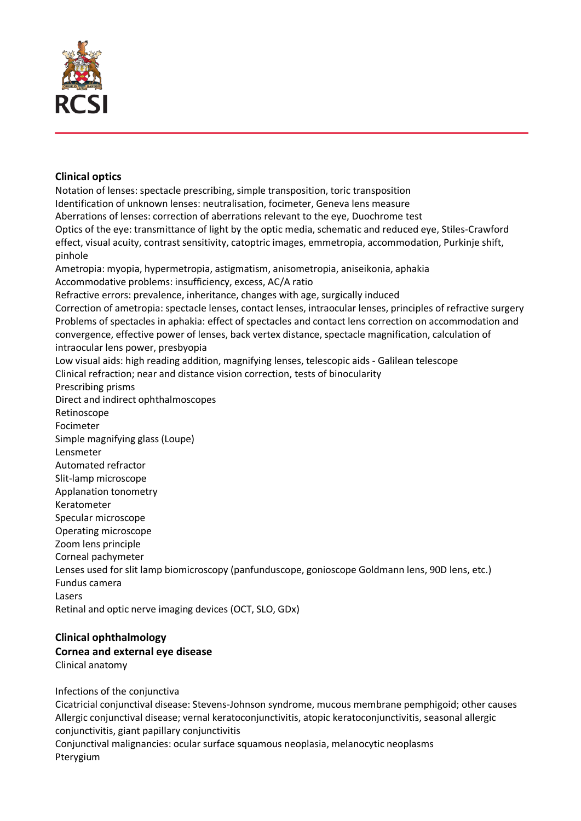

## **Clinical optics**

Notation of lenses: spectacle prescribing, simple transposition, toric transposition Identification of unknown lenses: neutralisation, focimeter, Geneva lens measure Aberrations of lenses: correction of aberrations relevant to the eye, Duochrome test Optics of the eye: transmittance of light by the optic media, schematic and reduced eye, Stiles-Crawford effect, visual acuity, contrast sensitivity, catoptric images, emmetropia, accommodation, Purkinje shift, pinhole Ametropia: myopia, hypermetropia, astigmatism, anisometropia, aniseikonia, aphakia Accommodative problems: insufficiency, excess, AC/A ratio Refractive errors: prevalence, inheritance, changes with age, surgically induced Correction of ametropia: spectacle lenses, contact lenses, intraocular lenses, principles of refractive surgery Problems of spectacles in aphakia: effect of spectacles and contact lens correction on accommodation and convergence, effective power of lenses, back vertex distance, spectacle magnification, calculation of intraocular lens power, presbyopia Low visual aids: high reading addition, magnifying lenses, telescopic aids - Galilean telescope Clinical refraction; near and distance vision correction, tests of binocularity Prescribing prisms Direct and indirect ophthalmoscopes Retinoscope Focimeter Simple magnifying glass (Loupe) Lensmeter Automated refractor Slit-lamp microscope Applanation tonometry Keratometer Specular microscope Operating microscope Zoom lens principle Corneal pachymeter Lenses used for slit lamp biomicroscopy (panfunduscope, gonioscope Goldmann lens, 90D lens, etc.) Fundus camera Lasers Retinal and optic nerve imaging devices (OCT, SLO, GDx)

# **Clinical ophthalmology Cornea and external eye disease**

Clinical anatomy

Infections of the conjunctiva

Cicatricial conjunctival disease: Stevens-Johnson syndrome, mucous membrane pemphigoid; other causes Allergic conjunctival disease; vernal keratoconjunctivitis, atopic keratoconjunctivitis, seasonal allergic conjunctivitis, giant papillary conjunctivitis

Conjunctival malignancies: ocular surface squamous neoplasia, melanocytic neoplasms Pterygium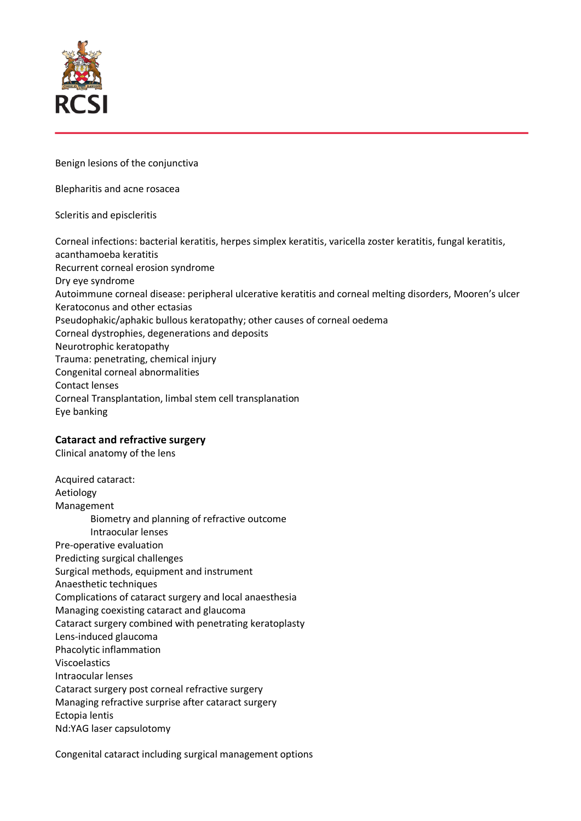

Benign lesions of the conjunctiva

Blepharitis and acne rosacea

Scleritis and episcleritis

Corneal infections: bacterial keratitis, herpes simplex keratitis, varicella zoster keratitis, fungal keratitis, acanthamoeba keratitis Recurrent corneal erosion syndrome Dry eye syndrome Autoimmune corneal disease: peripheral ulcerative keratitis and corneal melting disorders, Mooren's ulcer Keratoconus and other ectasias Pseudophakic/aphakic bullous keratopathy; other causes of corneal oedema Corneal dystrophies, degenerations and deposits Neurotrophic keratopathy Trauma: penetrating, chemical injury Congenital corneal abnormalities Contact lenses Corneal Transplantation, limbal stem cell transplanation Eye banking

# **Cataract and refractive surgery**

Clinical anatomy of the lens

Acquired cataract: Aetiology Management Biometry and planning of refractive outcome Intraocular lenses Pre-operative evaluation Predicting surgical challenges Surgical methods, equipment and instrument Anaesthetic techniques Complications of cataract surgery and local anaesthesia Managing coexisting cataract and glaucoma Cataract surgery combined with penetrating keratoplasty Lens-induced glaucoma Phacolytic inflammation Viscoelastics Intraocular lenses Cataract surgery post corneal refractive surgery Managing refractive surprise after cataract surgery Ectopia lentis Nd:YAG laser capsulotomy

Congenital cataract including surgical management options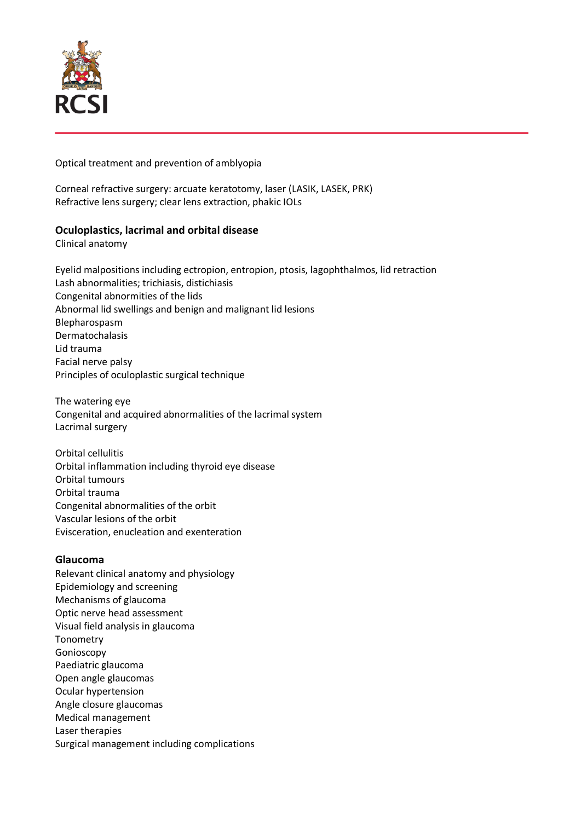

#### Optical treatment and prevention of amblyopia

Corneal refractive surgery: arcuate keratotomy, laser (LASIK, LASEK, PRK) Refractive lens surgery; clear lens extraction, phakic IOLs

## **Oculoplastics, lacrimal and orbital disease**

Clinical anatomy

Eyelid malpositions including ectropion, entropion, ptosis, lagophthalmos, lid retraction Lash abnormalities; trichiasis, distichiasis Congenital abnormities of the lids Abnormal lid swellings and benign and malignant lid lesions Blepharospasm Dermatochalasis Lid trauma Facial nerve palsy Principles of oculoplastic surgical technique

The watering eye Congenital and acquired abnormalities of the lacrimal system Lacrimal surgery

Orbital cellulitis Orbital inflammation including thyroid eye disease Orbital tumours Orbital trauma Congenital abnormalities of the orbit Vascular lesions of the orbit Evisceration, enucleation and exenteration

## **Glaucoma**

Relevant clinical anatomy and physiology Epidemiology and screening Mechanisms of glaucoma Optic nerve head assessment Visual field analysis in glaucoma Tonometry Gonioscopy Paediatric glaucoma Open angle glaucomas Ocular hypertension Angle closure glaucomas Medical management Laser therapies Surgical management including complications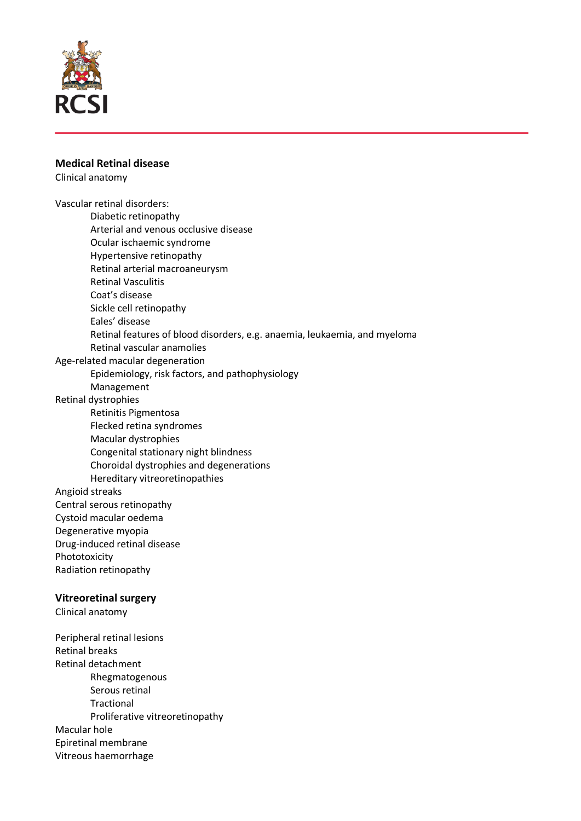

#### **Medical Retinal disease**

Clinical anatomy

Vascular retinal disorders: Diabetic retinopathy Arterial and venous occlusive disease Ocular ischaemic syndrome Hypertensive retinopathy Retinal arterial macroaneurysm Retinal Vasculitis Coat's disease Sickle cell retinopathy Eales' disease Retinal features of blood disorders, e.g. anaemia, leukaemia, and myeloma Retinal vascular anamolies Age-related macular degeneration Epidemiology, risk factors, and pathophysiology Management Retinal dystrophies Retinitis Pigmentosa Flecked retina syndromes Macular dystrophies Congenital stationary night blindness Choroidal dystrophies and degenerations Hereditary vitreoretinopathies Angioid streaks Central serous retinopathy Cystoid macular oedema Degenerative myopia Drug-induced retinal disease Phototoxicity Radiation retinopathy **Vitreoretinal surgery** Clinical anatomy Peripheral retinal lesions Retinal breaks Retinal detachment Rhegmatogenous Serous retinal **Tractional** Proliferative vitreoretinopathy Macular hole Epiretinal membrane

Vitreous haemorrhage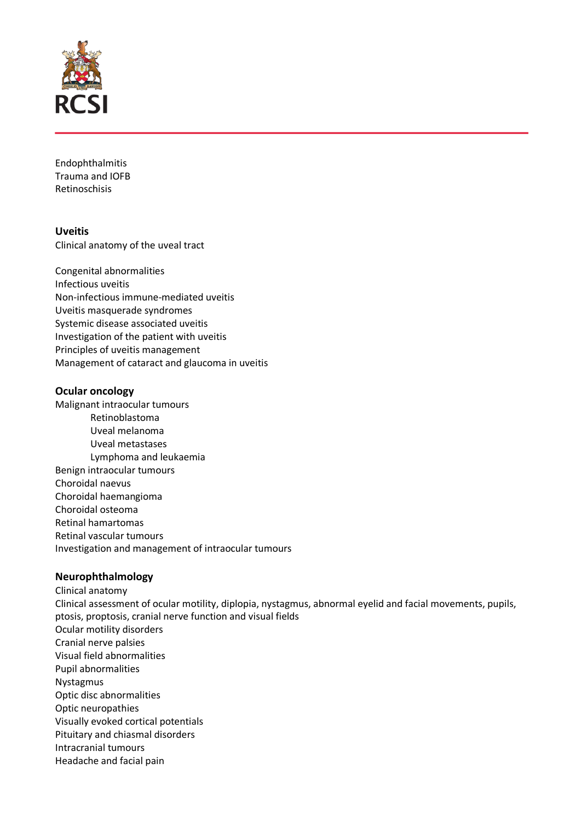

Endophthalmitis Trauma and IOFB Retinoschisis

**Uveitis** Clinical anatomy of the uveal tract

Congenital abnormalities Infectious uveitis Non-infectious immune-mediated uveitis Uveitis masquerade syndromes Systemic disease associated uveitis Investigation of the patient with uveitis Principles of uveitis management Management of cataract and glaucoma in uveitis

## **Ocular oncology**

Malignant intraocular tumours Retinoblastoma Uveal melanoma Uveal metastases Lymphoma and leukaemia Benign intraocular tumours Choroidal naevus Choroidal haemangioma Choroidal osteoma Retinal hamartomas Retinal vascular tumours Investigation and management of intraocular tumours

## **Neurophthalmology**

Clinical anatomy Clinical assessment of ocular motility, diplopia, nystagmus, abnormal eyelid and facial movements, pupils, ptosis, proptosis, cranial nerve function and visual fields Ocular motility disorders Cranial nerve palsies Visual field abnormalities Pupil abnormalities Nystagmus Optic disc abnormalities Optic neuropathies Visually evoked cortical potentials Pituitary and chiasmal disorders Intracranial tumours Headache and facial pain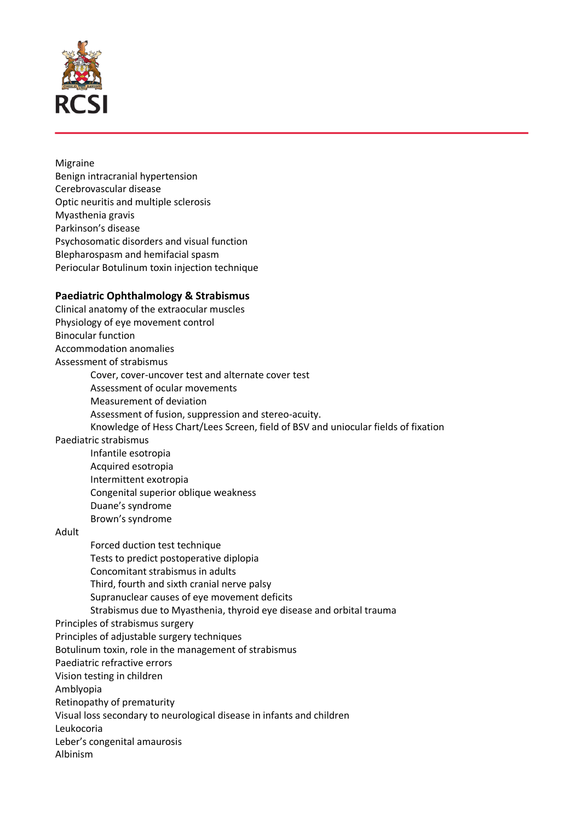

### Migraine Benign intracranial hypertension Cerebrovascular disease Optic neuritis and multiple sclerosis Myasthenia gravis Parkinson's disease Psychosomatic disorders and visual function Blepharospasm and hemifacial spasm Periocular Botulinum toxin injection technique

## **Paediatric Ophthalmology & Strabismus**

Clinical anatomy of the extraocular muscles Physiology of eye movement control Binocular function Accommodation anomalies Assessment of strabismus Cover, cover-uncover test and alternate cover test Assessment of ocular movements Measurement of deviation Assessment of fusion, suppression and stereo-acuity. Knowledge of Hess Chart/Lees Screen, field of BSV and uniocular fields of fixation Paediatric strabismus Infantile esotropia Acquired esotropia Intermittent exotropia Congenital superior oblique weakness Duane's syndrome Brown's syndrome Adult Forced duction test technique Tests to predict postoperative diplopia Concomitant strabismus in adults Third, fourth and sixth cranial nerve palsy Supranuclear causes of eye movement deficits Strabismus due to Myasthenia, thyroid eye disease and orbital trauma Principles of strabismus surgery Principles of adjustable surgery techniques Botulinum toxin, role in the management of strabismus Paediatric refractive errors Vision testing in children Amblyopia Retinopathy of prematurity Visual loss secondary to neurological disease in infants and children Leukocoria Leber's congenital amaurosis Albinism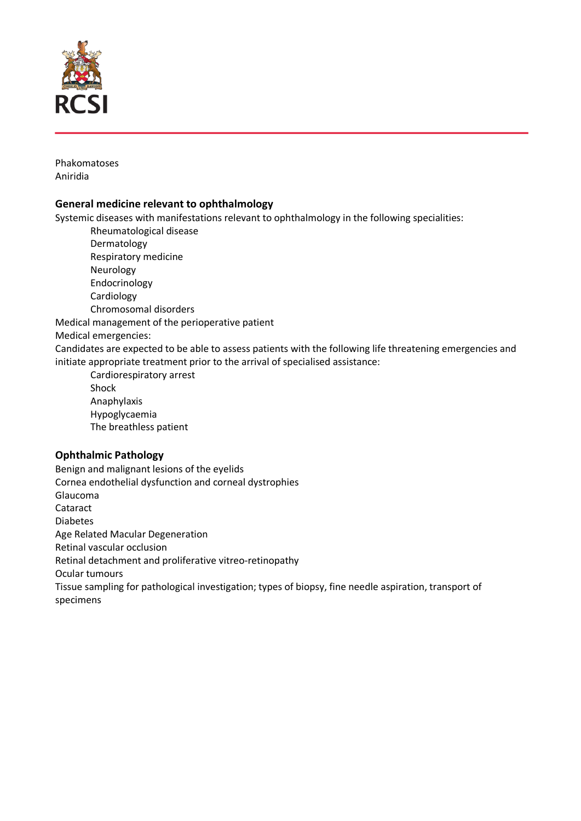

Phakomatoses Aniridia

## **General medicine relevant to ophthalmology**

Systemic diseases with manifestations relevant to ophthalmology in the following specialities:

Rheumatological disease

- Dermatology
- Respiratory medicine
- Neurology
- Endocrinology

Cardiology

Chromosomal disorders

Medical management of the perioperative patient

Medical emergencies:

Candidates are expected to be able to assess patients with the following life threatening emergencies and initiate appropriate treatment prior to the arrival of specialised assistance:

Cardiorespiratory arrest Shock Anaphylaxis Hypoglycaemia The breathless patient

# **Ophthalmic Pathology**

Benign and malignant lesions of the eyelids Cornea endothelial dysfunction and corneal dystrophies Glaucoma Cataract Diabetes Age Related Macular Degeneration Retinal vascular occlusion Retinal detachment and proliferative vitreo-retinopathy Ocular tumours Tissue sampling for pathological investigation; types of biopsy, fine needle aspiration, transport of specimens